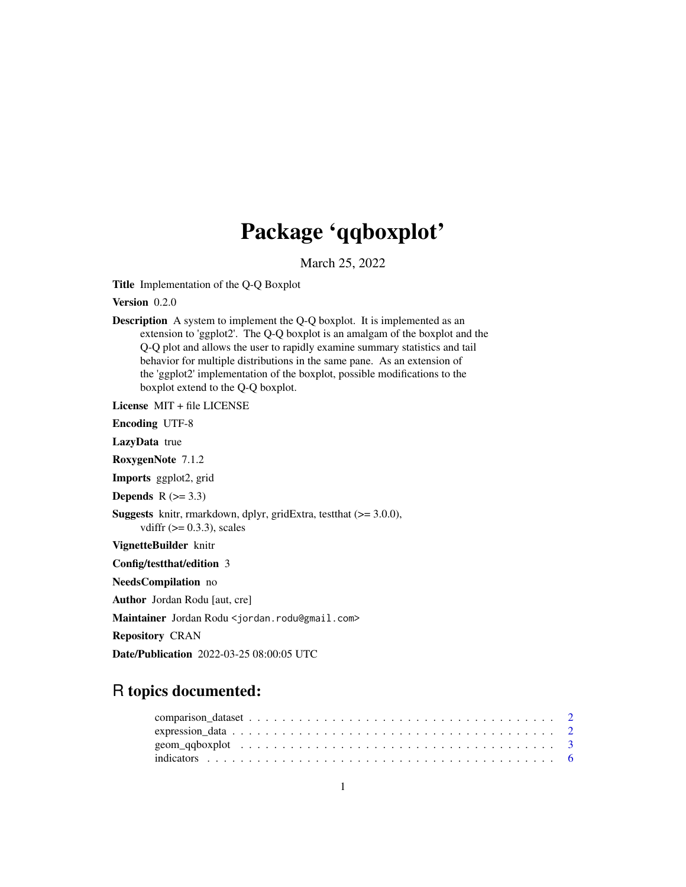## Package 'qqboxplot'

March 25, 2022

<span id="page-0-0"></span>Title Implementation of the Q-Q Boxplot

Version 0.2.0

Description A system to implement the Q-Q boxplot. It is implemented as an extension to 'ggplot2'. The Q-Q boxplot is an amalgam of the boxplot and the Q-Q plot and allows the user to rapidly examine summary statistics and tail behavior for multiple distributions in the same pane. As an extension of the 'ggplot2' implementation of the boxplot, possible modifications to the boxplot extend to the Q-Q boxplot.

License MIT + file LICENSE

Encoding UTF-8

LazyData true

RoxygenNote 7.1.2

Imports ggplot2, grid

Depends  $R$  ( $>= 3.3$ )

```
Suggests knitr, rmarkdown, dplyr, gridExtra, testthat (>= 3.0.0),
      vdiffr (>= 0.3.3), scales
```
VignetteBuilder knitr

Config/testthat/edition 3

NeedsCompilation no

Author Jordan Rodu [aut, cre]

Maintainer Jordan Rodu <jordan.rodu@gmail.com>

Repository CRAN

Date/Publication 2022-03-25 08:00:05 UTC

### R topics documented: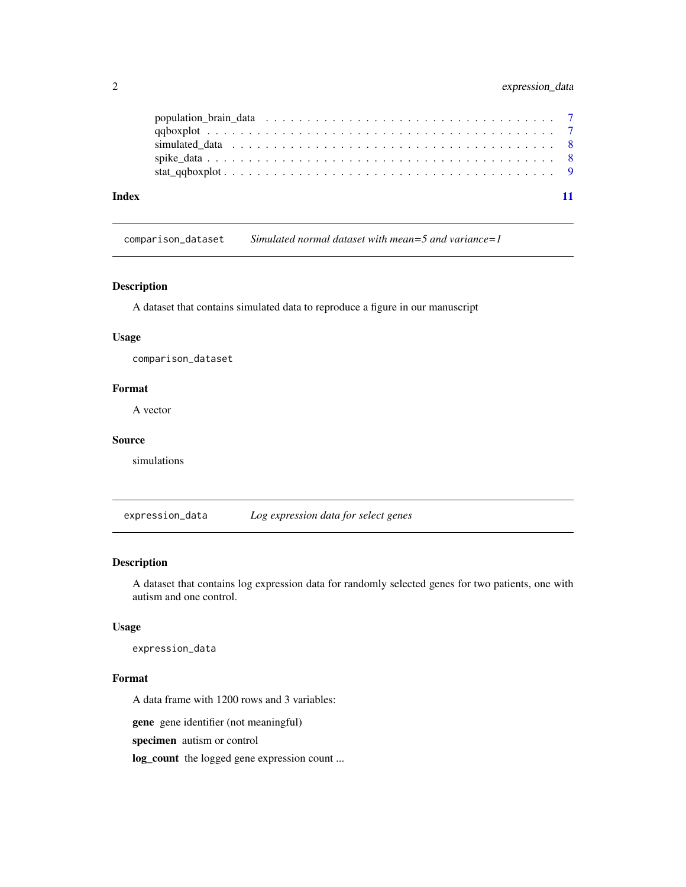<span id="page-1-0"></span>

| Index |  |  |  |  |  |  |  |  |  |  |  |  |  |  |  |  |  |
|-------|--|--|--|--|--|--|--|--|--|--|--|--|--|--|--|--|--|

comparison\_dataset *Simulated normal dataset with mean=5 and variance=1*

#### Description

A dataset that contains simulated data to reproduce a figure in our manuscript

#### Usage

comparison\_dataset

### Format

A vector

#### Source

simulations

expression\_data *Log expression data for select genes*

#### Description

A dataset that contains log expression data for randomly selected genes for two patients, one with autism and one control.

#### Usage

expression\_data

#### Format

A data frame with 1200 rows and 3 variables:

gene gene identifier (not meaningful)

specimen autism or control

log\_count the logged gene expression count ...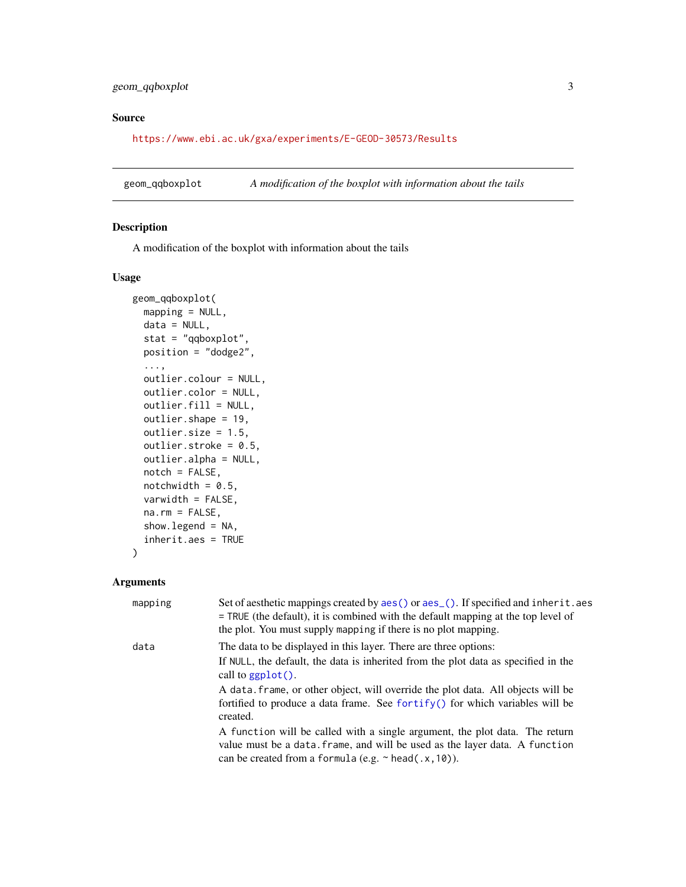#### <span id="page-2-0"></span>geom\_qqboxplot 3

#### Source

<https://www.ebi.ac.uk/gxa/experiments/E-GEOD-30573/Results>

geom\_qqboxplot *A modification of the boxplot with information about the tails*

#### Description

A modification of the boxplot with information about the tails

#### Usage

```
geom_qqboxplot(
 mapping = NULL,
  data = NULL,
  stat = "qqboxplot",
 position = "dodge2",
  ...,
  outlier.colour = NULL,
  outlier.color = NULL,
 outlier.fill = NULL,
  outlier.shape = 19,
  outlier.size = 1.5,
  outlier.stroke = 0.5,
  outlier.alpha = NULL,
  notch = FALSE,notchwidth = 0.5,
  varwidth = FALSE,
  na.rm = FALSE,
  show.legend = NA,
  inherit.aes = TRUE
\lambda
```
#### Arguments

| mapping | Set of aesthetic mappings created by aes () or aes (). If specified and inherit. aes<br>$=$ TRUE (the default), it is combined with the default mapping at the top level of                                             |
|---------|-------------------------------------------------------------------------------------------------------------------------------------------------------------------------------------------------------------------------|
|         | the plot. You must supply mapping if there is no plot mapping.                                                                                                                                                          |
| data    | The data to be displayed in this layer. There are three options:                                                                                                                                                        |
|         | If NULL, the default, the data is inherited from the plot data as specified in the<br>call to $ggplot()$ .                                                                                                              |
|         | A data, frame, or other object, will override the plot data. All objects will be<br>fortified to produce a data frame. See fortify() for which variables will be<br>created.                                            |
|         | A function will be called with a single argument, the plot data. The return<br>value must be a data. frame, and will be used as the layer data. A function<br>can be created from a formula (e.g. $\sim$ head(.x, 10)). |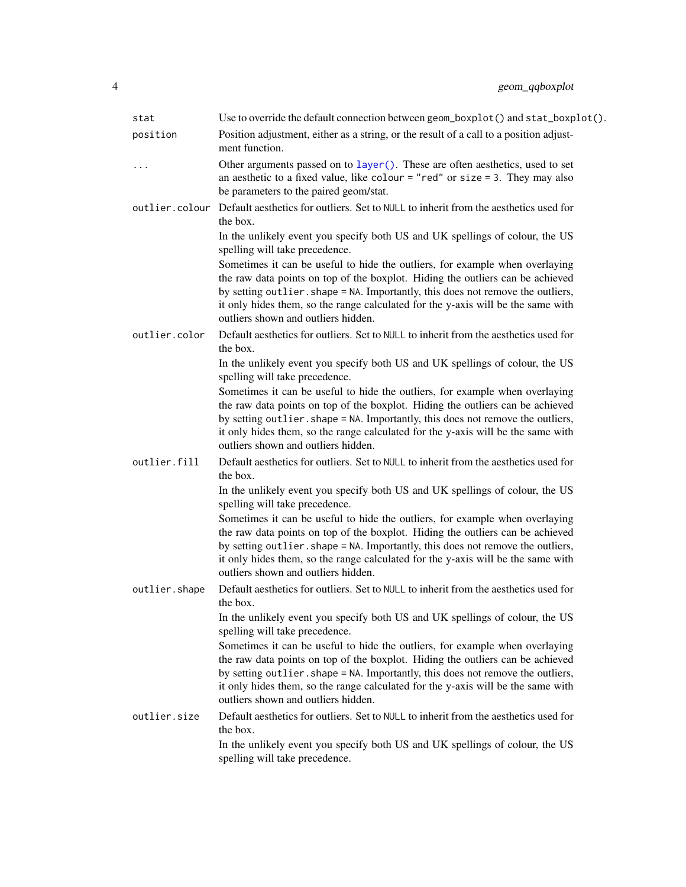<span id="page-3-0"></span>

| stat           | Use to override the default connection between geom_boxplot() and stat_boxplot().                                                                                                                                                                                                                                                                                            |
|----------------|------------------------------------------------------------------------------------------------------------------------------------------------------------------------------------------------------------------------------------------------------------------------------------------------------------------------------------------------------------------------------|
| position       | Position adjustment, either as a string, or the result of a call to a position adjust-<br>ment function.                                                                                                                                                                                                                                                                     |
| .              | Other arguments passed on to layer (). These are often aesthetics, used to set<br>an aesthetic to a fixed value, like colour = "red" or size = 3. They may also<br>be parameters to the paired geom/stat.                                                                                                                                                                    |
| outlier.colour | Default aesthetics for outliers. Set to NULL to inherit from the aesthetics used for<br>the box.                                                                                                                                                                                                                                                                             |
|                | In the unlikely event you specify both US and UK spellings of colour, the US<br>spelling will take precedence.                                                                                                                                                                                                                                                               |
|                | Sometimes it can be useful to hide the outliers, for example when overlaying<br>the raw data points on top of the boxplot. Hiding the outliers can be achieved<br>by setting outlier. shape = NA. Importantly, this does not remove the outliers,<br>it only hides them, so the range calculated for the y-axis will be the same with<br>outliers shown and outliers hidden. |
| outlier.color  | Default aesthetics for outliers. Set to NULL to inherit from the aesthetics used for<br>the box.                                                                                                                                                                                                                                                                             |
|                | In the unlikely event you specify both US and UK spellings of colour, the US<br>spelling will take precedence.                                                                                                                                                                                                                                                               |
|                | Sometimes it can be useful to hide the outliers, for example when overlaying<br>the raw data points on top of the boxplot. Hiding the outliers can be achieved<br>by setting outlier. shape = NA. Importantly, this does not remove the outliers,<br>it only hides them, so the range calculated for the y-axis will be the same with<br>outliers shown and outliers hidden. |
| outlier.fill   | Default aesthetics for outliers. Set to NULL to inherit from the aesthetics used for<br>the box.                                                                                                                                                                                                                                                                             |
|                | In the unlikely event you specify both US and UK spellings of colour, the US<br>spelling will take precedence.                                                                                                                                                                                                                                                               |
|                | Sometimes it can be useful to hide the outliers, for example when overlaying<br>the raw data points on top of the boxplot. Hiding the outliers can be achieved<br>by setting outlier. shape = NA. Importantly, this does not remove the outliers,<br>it only hides them, so the range calculated for the y-axis will be the same with<br>outliers shown and outliers hidden. |
| outlier.shape  | Default aesthetics for outliers. Set to NULL to inherit from the aesthetics used for<br>the box.                                                                                                                                                                                                                                                                             |
|                | In the unlikely event you specify both US and UK spellings of colour, the US<br>spelling will take precedence.                                                                                                                                                                                                                                                               |
|                | Sometimes it can be useful to hide the outliers, for example when overlaying<br>the raw data points on top of the boxplot. Hiding the outliers can be achieved<br>by setting outlier. shape = NA. Importantly, this does not remove the outliers,<br>it only hides them, so the range calculated for the y-axis will be the same with<br>outliers shown and outliers hidden. |
| outlier.size   | Default aesthetics for outliers. Set to NULL to inherit from the aesthetics used for<br>the box.                                                                                                                                                                                                                                                                             |
|                | In the unlikely event you specify both US and UK spellings of colour, the US<br>spelling will take precedence.                                                                                                                                                                                                                                                               |
|                |                                                                                                                                                                                                                                                                                                                                                                              |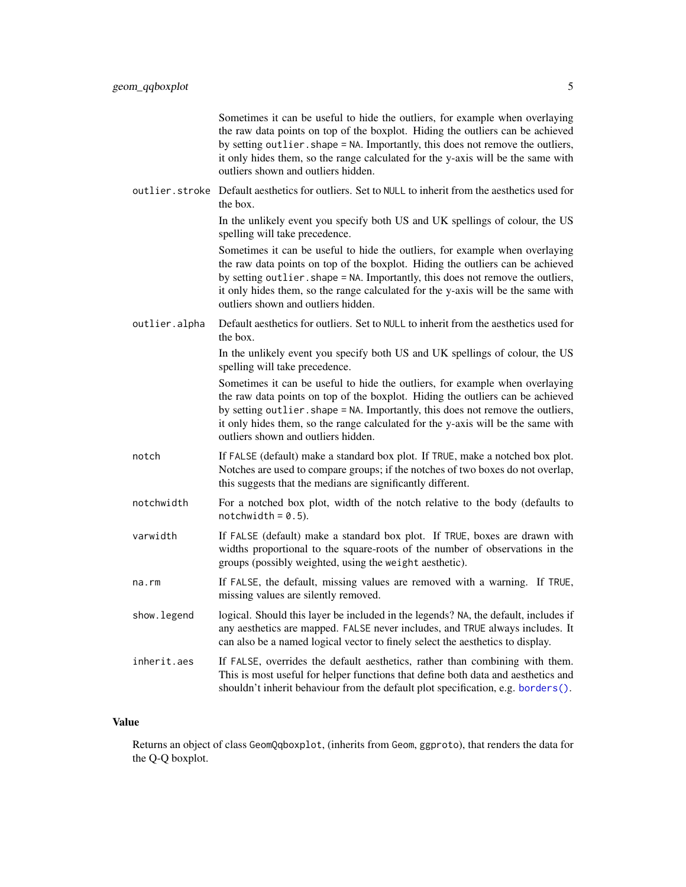Sometimes it can be useful to hide the outliers, for example when overlaying the raw data points on top of the boxplot. Hiding the outliers can be achieved by setting outlier.shape = NA. Importantly, this does not remove the outliers, it only hides them, so the range calculated for the y-axis will be the same with outliers shown and outliers hidden.

<span id="page-4-0"></span>outlier.stroke Default aesthetics for outliers. Set to NULL to inherit from the aesthetics used for the box.

> In the unlikely event you specify both US and UK spellings of colour, the US spelling will take precedence.

> Sometimes it can be useful to hide the outliers, for example when overlaying the raw data points on top of the boxplot. Hiding the outliers can be achieved by setting outlier. shape = NA. Importantly, this does not remove the outliers, it only hides them, so the range calculated for the y-axis will be the same with outliers shown and outliers hidden.

outlier.alpha Default aesthetics for outliers. Set to NULL to inherit from the aesthetics used for the box.

> In the unlikely event you specify both US and UK spellings of colour, the US spelling will take precedence.

> Sometimes it can be useful to hide the outliers, for example when overlaying the raw data points on top of the boxplot. Hiding the outliers can be achieved by setting outlier. shape = NA. Importantly, this does not remove the outliers, it only hides them, so the range calculated for the y-axis will be the same with outliers shown and outliers hidden.

- notch If FALSE (default) make a standard box plot. If TRUE, make a notched box plot. Notches are used to compare groups; if the notches of two boxes do not overlap, this suggests that the medians are significantly different.
- notchwidth For a notched box plot, width of the notch relative to the body (defaults to  $notchwidth = 0.5$ ).
- varwidth If FALSE (default) make a standard box plot. If TRUE, boxes are drawn with widths proportional to the square-roots of the number of observations in the groups (possibly weighted, using the weight aesthetic).
- na.rm If FALSE, the default, missing values are removed with a warning. If TRUE, missing values are silently removed.
- show. legend logical. Should this layer be included in the legends? NA, the default, includes if any aesthetics are mapped. FALSE never includes, and TRUE always includes. It can also be a named logical vector to finely select the aesthetics to display.
- inherit.aes If FALSE, overrides the default aesthetics, rather than combining with them. This is most useful for helper functions that define both data and aesthetics and shouldn't inherit behaviour from the default plot specification, e.g. [borders\(\)](#page-0-0).

#### Value

Returns an object of class GeomQqboxplot, (inherits from Geom, ggproto), that renders the data for the Q-Q boxplot.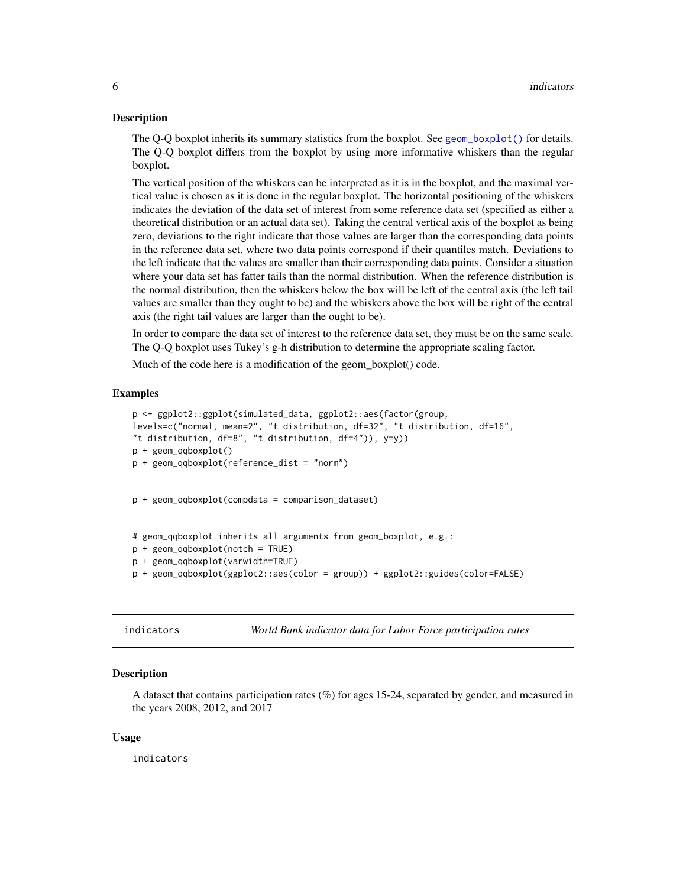#### <span id="page-5-0"></span>**Description**

The Q-Q boxplot inherits its summary statistics from the boxplot. See [geom\\_boxplot\(\)](#page-0-0) for details. The Q-Q boxplot differs from the boxplot by using more informative whiskers than the regular boxplot.

The vertical position of the whiskers can be interpreted as it is in the boxplot, and the maximal vertical value is chosen as it is done in the regular boxplot. The horizontal positioning of the whiskers indicates the deviation of the data set of interest from some reference data set (specified as either a theoretical distribution or an actual data set). Taking the central vertical axis of the boxplot as being zero, deviations to the right indicate that those values are larger than the corresponding data points in the reference data set, where two data points correspond if their quantiles match. Deviations to the left indicate that the values are smaller than their corresponding data points. Consider a situation where your data set has fatter tails than the normal distribution. When the reference distribution is the normal distribution, then the whiskers below the box will be left of the central axis (the left tail values are smaller than they ought to be) and the whiskers above the box will be right of the central axis (the right tail values are larger than the ought to be).

In order to compare the data set of interest to the reference data set, they must be on the same scale. The Q-Q boxplot uses Tukey's g-h distribution to determine the appropriate scaling factor.

Much of the code here is a modification of the geom\_boxplot() code.

#### Examples

```
p <- ggplot2::ggplot(simulated_data, ggplot2::aes(factor(group,
levels=c("normal, mean=2", "t distribution, df=32", "t distribution, df=16",
"t distribution, df=8", "t distribution, df=4")), y=y))
p + geom_qqboxplot()
p + geom_qqboxplot(reference_dist = "norm")
p + geom_qqboxplot(compdata = comparison_dataset)
# geom_qqboxplot inherits all arguments from geom_boxplot, e.g.:
p + geom_qqboxplot(notch = TRUE)
p + geom_qqboxplot(varwidth=TRUE)
p + geom_qqboxplot(ggplot2::aes(color = group)) + ggplot2::guides(color=FALSE)
```
indicators *World Bank indicator data for Labor Force participation rates*

#### Description

A dataset that contains participation rates (%) for ages 15-24, separated by gender, and measured in the years 2008, 2012, and 2017

#### Usage

indicators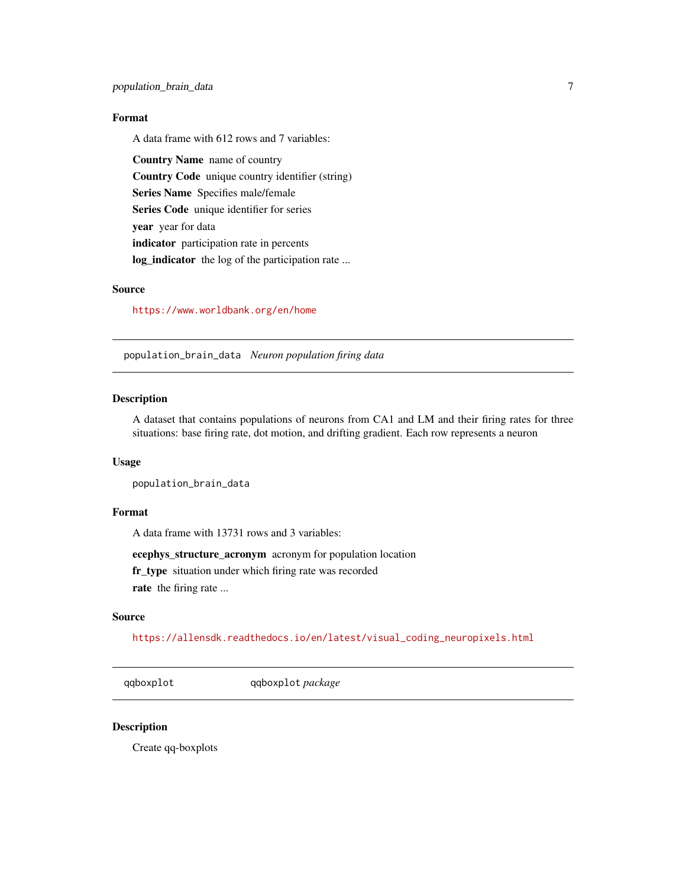#### <span id="page-6-0"></span>Format

A data frame with 612 rows and 7 variables:

Country Name name of country Country Code unique country identifier (string) Series Name Specifies male/female Series Code unique identifier for series year year for data indicator participation rate in percents log\_indicator the log of the participation rate ...

#### Source

<https://www.worldbank.org/en/home>

population\_brain\_data *Neuron population firing data*

#### Description

A dataset that contains populations of neurons from CA1 and LM and their firing rates for three situations: base firing rate, dot motion, and drifting gradient. Each row represents a neuron

#### Usage

population\_brain\_data

#### Format

A data frame with 13731 rows and 3 variables:

ecephys\_structure\_acronym acronym for population location

fr\_type situation under which firing rate was recorded

rate the firing rate ...

#### Source

[https://allensdk.readthedocs.io/en/latest/visual\\_coding\\_neuropixels.html](https://allensdk.readthedocs.io/en/latest/visual_coding_neuropixels.html)

qqboxplot qqboxplot *package*

#### Description

Create qq-boxplots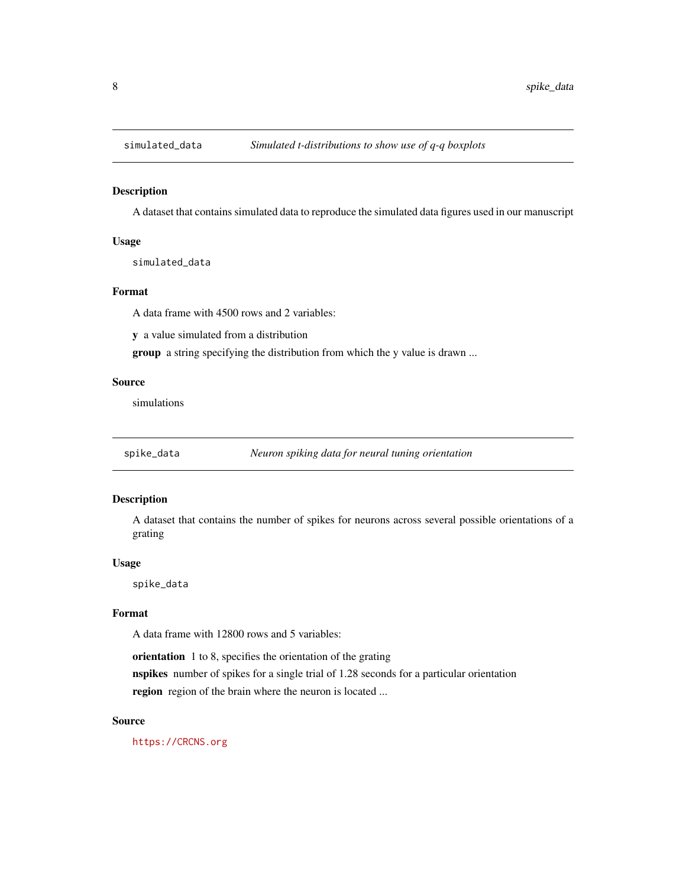<span id="page-7-0"></span>

#### Description

A dataset that contains simulated data to reproduce the simulated data figures used in our manuscript

#### Usage

simulated\_data

#### Format

A data frame with 4500 rows and 2 variables:

y a value simulated from a distribution

group a string specifying the distribution from which the y value is drawn ...

#### Source

simulations

spike\_data *Neuron spiking data for neural tuning orientation*

#### Description

A dataset that contains the number of spikes for neurons across several possible orientations of a grating

#### Usage

spike\_data

#### Format

A data frame with 12800 rows and 5 variables:

orientation 1 to 8, specifies the orientation of the grating

nspikes number of spikes for a single trial of 1.28 seconds for a particular orientation region region of the brain where the neuron is located ...

#### Source

<https://CRCNS.org>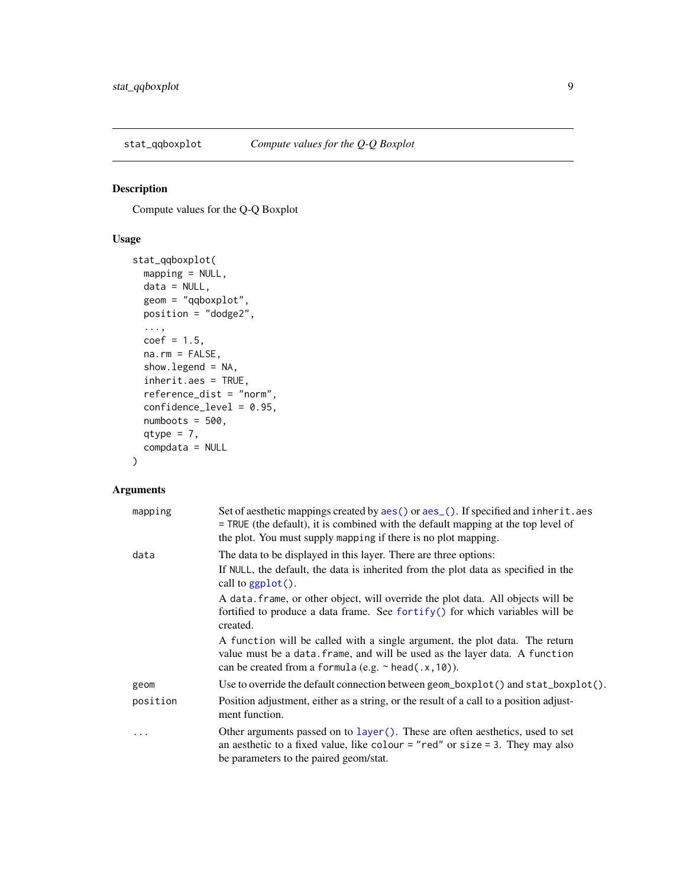<span id="page-8-0"></span>

#### Description

Compute values for the Q-Q Boxplot

#### Usage

```
stat_qqboxplot(
 mapping = NULL,
 data = NULL,
  geom = "qqboxplot",
 position = "dodge2",
  ...,
 coef = 1.5,
 na.rm = FALSE,
  show.legend = NA,
  inherit.aes = TRUE,
  reference_dist = "norm",
  confidence_level = 0.95,
 numbers = 500,qtype = 7,
  compdata = NULL
\mathcal{E}
```
#### Arguments

| mapping  | Set of aesthetic mappings created by $aes()$ or $aes()$ . If specified and inherit. aes<br>$=$ TRUE (the default), it is combined with the default mapping at the top level of<br>the plot. You must supply mapping if there is no plot mapping. |
|----------|--------------------------------------------------------------------------------------------------------------------------------------------------------------------------------------------------------------------------------------------------|
| data     | The data to be displayed in this layer. There are three options:                                                                                                                                                                                 |
|          | If NULL, the default, the data is inherited from the plot data as specified in the<br>call to $ggplot()$ .                                                                                                                                       |
|          | A data, frame, or other object, will override the plot data. All objects will be<br>fortified to produce a data frame. See for $\text{trify}()$ for which variables will be<br>created.                                                          |
|          | A function will be called with a single argument, the plot data. The return<br>value must be a data. frame, and will be used as the layer data. A function<br>can be created from a formula (e.g. $\sim$ head(.x, 10)).                          |
| geom     | Use to override the default connection between geom_boxplot() and stat_boxplot().                                                                                                                                                                |
| position | Position adjustment, either as a string, or the result of a call to a position adjust-<br>ment function.                                                                                                                                         |
| .        | Other arguments passed on to layer (). These are often aesthetics, used to set<br>an aesthetic to a fixed value, like colour = "red" or size = 3. They may also<br>be parameters to the paired geom/stat.                                        |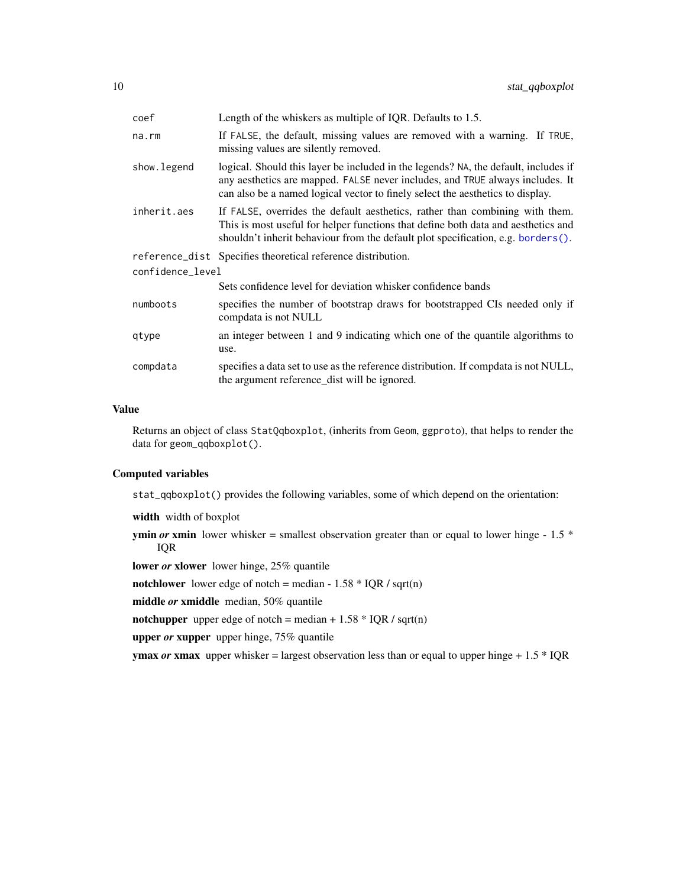<span id="page-9-0"></span>

| coef             | Length of the whiskers as multiple of IQR. Defaults to 1.5.                                                                                                                                                                                            |
|------------------|--------------------------------------------------------------------------------------------------------------------------------------------------------------------------------------------------------------------------------------------------------|
| $na$ . $rm$      | If FALSE, the default, missing values are removed with a warning. If TRUE,<br>missing values are silently removed.                                                                                                                                     |
| show. legend     | logical. Should this layer be included in the legends? NA, the default, includes if<br>any aesthetics are mapped. FALSE never includes, and TRUE always includes. It<br>can also be a named logical vector to finely select the aesthetics to display. |
| inherit.aes      | If FALSE, overrides the default aesthetics, rather than combining with them.<br>This is most useful for helper functions that define both data and aesthetics and<br>shouldn't inherit behaviour from the default plot specification, e.g. borders().  |
|                  | reference_dist Specifies theoretical reference distribution.                                                                                                                                                                                           |
| confidence_level |                                                                                                                                                                                                                                                        |
|                  | Sets confidence level for deviation whisker confidence bands                                                                                                                                                                                           |
| numboots         | specifies the number of bootstrap draws for bootstrapped CIs needed only if<br>compdata is not NULL                                                                                                                                                    |
| qtype            | an integer between 1 and 9 indicating which one of the quantile algorithms to<br>use.                                                                                                                                                                  |
| compdata         | specifies a data set to use as the reference distribution. If compdata is not NULL,<br>the argument reference_dist will be ignored.                                                                                                                    |

#### Value

Returns an object of class StatQqboxplot, (inherits from Geom, ggproto), that helps to render the data for geom\_qqboxplot().

#### Computed variables

stat\_qqboxplot() provides the following variables, some of which depend on the orientation:

width width of boxplot

**ymin** *or* **xmin** lower whisker = smallest observation greater than or equal to lower hinge - 1.5  $*$ IQR

lower *or* xlower lower hinge, 25% quantile

notchlower lower edge of notch = median -  $1.58 * IQR / sqrt(n)$ 

middle *or* xmiddle median, 50% quantile

notchupper upper edge of notch = median +  $1.58 * IQR / sqrt(n)$ 

upper *or* xupper upper hinge, 75% quantile

**ymax** *or* **xmax** upper whisker = largest observation less than or equal to upper hinge  $+1.5 * IQR$